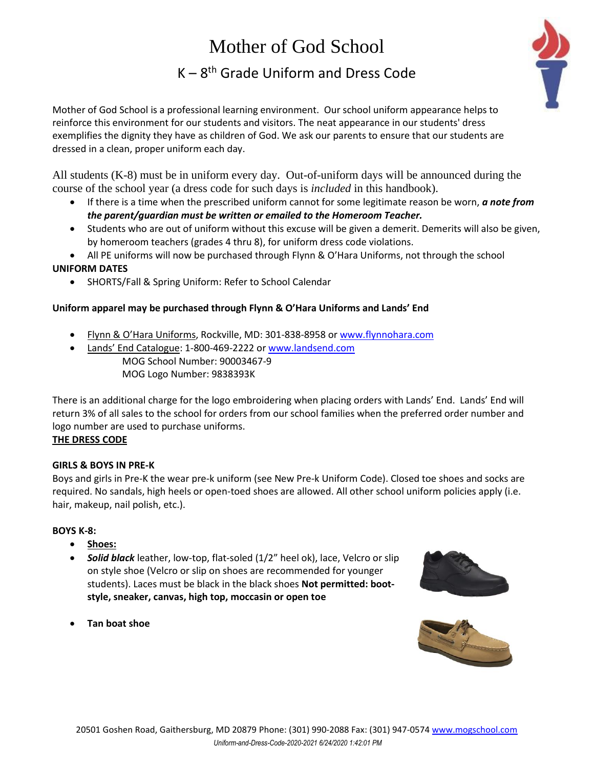# Mother of God School K – 8 th Grade Uniform and Dress Code



Mother of God School is a professional learning environment. Our school uniform appearance helps to reinforce this environment for our students and visitors. The neat appearance in our students' dress exemplifies the dignity they have as children of God. We ask our parents to ensure that our students are dressed in a clean, proper uniform each day.

All students (K-8) must be in uniform every day. Out-of-uniform days will be announced during the course of the school year (a dress code for such days is *included* in this handbook).

- If there is a time when the prescribed uniform cannot for some legitimate reason be worn, *a note from the parent/guardian must be written or emailed to the Homeroom Teacher.*
- Students who are out of uniform without this excuse will be given a demerit. Demerits will also be given, by homeroom teachers (grades 4 thru 8), for uniform dress code violations.
- All PE uniforms will now be purchased through Flynn & O'Hara Uniforms, not through the school

## **UNIFORM DATES**

• SHORTS/Fall & Spring Uniform: Refer to School Calendar

## **Uniform apparel may be purchased through Flynn & O'Hara Uniforms and Lands' End**

- Flynn & O'Hara Uniforms, Rockville, MD: 301-838-8958 o[r www.flynnohara.com](http://www.flynnohara.com/)
- Lands' End Catalogue: 1-800-469-2222 o[r www.landsend.com](http://www.landsend.com/) MOG School Number: 90003467-9 MOG Logo Number: 9838393K

There is an additional charge for the logo embroidering when placing orders with Lands' End. Lands' End will return 3% of all sales to the school for orders from our school families when the preferred order number and logo number are used to purchase uniforms.

## **THE DRESS CODE**

## **GIRLS & BOYS IN PRE-K**

Boys and girls in Pre-K the wear pre-k uniform (see New Pre-k Uniform Code). Closed toe shoes and socks are required. No sandals, high heels or open-toed shoes are allowed. All other school uniform policies apply (i.e. hair, makeup, nail polish, etc.).

## **BOYS K-8:**

- **Shoes:**
- *Solid black* leather, low-top, flat-soled (1/2" heel ok), lace, Velcro or slip on style shoe (Velcro or slip on shoes are recommended for younger students). Laces must be black in the black shoes **Not permitted: bootstyle, sneaker, canvas, high top, moccasin or open toe**



• **Tan boat shoe**

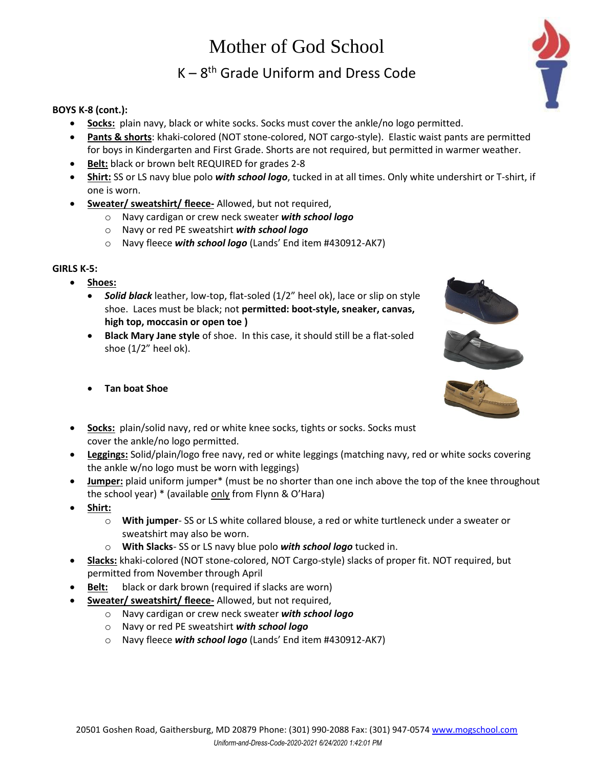## Mother of God School

K – 8 th Grade Uniform and Dress Code

### **BOYS K-8 (cont.):**

- **Socks:** plain navy, black or white socks. Socks must cover the ankle/no logo permitted.
- **Pants & shorts**: khaki-colored (NOT stone-colored, NOT cargo-style). Elastic waist pants are permitted for boys in Kindergarten and First Grade. Shorts are not required, but permitted in warmer weather.
- **Belt:** black or brown belt REQUIRED for grades 2-8
- **Shirt:** SS or LS navy blue polo *with school logo*, tucked in at all times. Only white undershirt or T-shirt, if one is worn.
- **Sweater/ sweatshirt/ fleece-** Allowed, but not required,
	- o Navy cardigan or crew neck sweater *with school logo*
	- o Navy or red PE sweatshirt *with school logo*
	- o Navy fleece *with school logo* (Lands' End item #430912-AK7)

### **GIRLS K-5:**

- **Shoes:** 
	- **Solid black** leather, low-top, flat-soled (1/2" heel ok), lace or slip on style shoe. Laces must be black; not **permitted: boot-style, sneaker, canvas, high top, moccasin or open toe )**
	- **Black Mary Jane style** of shoe. In this case, it should still be a flat-soled shoe  $(1/2"$  heel ok).
	- **Tan boat Shoe**



- **Leggings:** Solid/plain/logo free navy, red or white leggings (matching navy, red or white socks covering the ankle w/no logo must be worn with leggings)
- **Jumper:** plaid uniform jumper\* (must be no shorter than one inch above the top of the knee throughout the school year) \* (available only from Flynn & O'Hara)
- **Shirt:**
	- o **With jumper** SS or LS white collared blouse, a red or white turtleneck under a sweater or sweatshirt may also be worn.
	- o **With Slacks** SS or LS navy blue polo *with school logo* tucked in.
- **Slacks:** khaki-colored (NOT stone-colored, NOT Cargo-style) slacks of proper fit. NOT required, but permitted from November through April
- **Belt:** black or dark brown (required if slacks are worn)
- **Sweater/ sweatshirt/ fleece-** Allowed, but not required,
	- o Navy cardigan or crew neck sweater *with school logo*
	- o Navy or red PE sweatshirt *with school logo*
	- o Navy fleece *with school logo* (Lands' End item #430912-AK7)





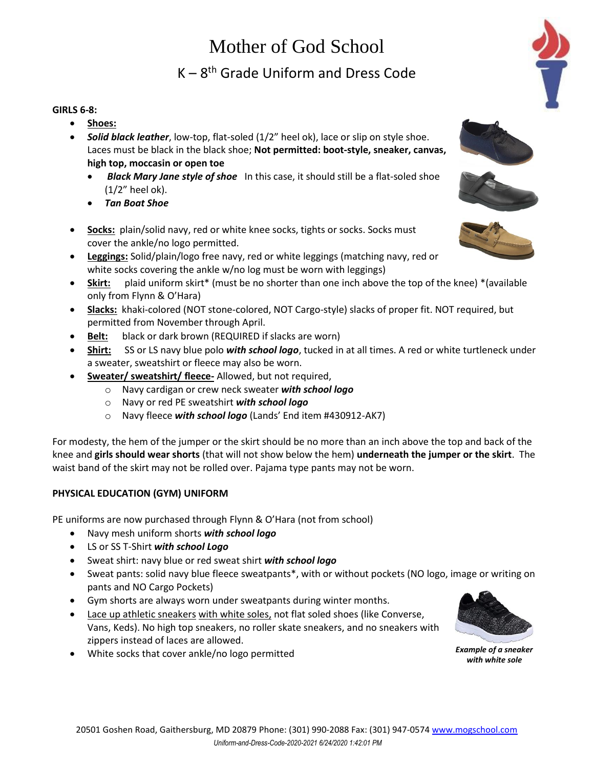## Mother of God School

## K – 8 th Grade Uniform and Dress Code

#### **GIRLS 6-8:**

- **Shoes:**
- *Solid black leather*, low-top, flat-soled (1/2" heel ok), lace or slip on style shoe. Laces must be black in the black shoe; **Not permitted: boot-style, sneaker, canvas, high top, moccasin or open toe** 
	- *Black Mary Jane style of shoe* In this case, it should still be a flat-soled shoe (1/2" heel ok).
	- *Tan Boat Shoe*
- **Socks:** plain/solid navy, red or white knee socks, tights or socks. Socks must cover the ankle/no logo permitted.
- **Leggings:** Solid/plain/logo free navy, red or white leggings (matching navy, red or white socks covering the ankle w/no log must be worn with leggings)
- **Skirt:** plaid uniform skirt\* (must be no shorter than one inch above the top of the knee) \*(available only from Flynn & O'Hara)
- **Slacks:** khaki-colored (NOT stone-colored, NOT Cargo-style) slacks of proper fit. NOT required, but permitted from November through April.
- **Belt:** black or dark brown (REQUIRED if slacks are worn)
- **Shirt:** SS or LS navy blue polo *with school logo*, tucked in at all times. A red or white turtleneck under a sweater, sweatshirt or fleece may also be worn.
- **Sweater/ sweatshirt/ fleece-** Allowed, but not required,
	- o Navy cardigan or crew neck sweater *with school logo*
	- o Navy or red PE sweatshirt *with school logo*
	- o Navy fleece *with school logo* (Lands' End item #430912-AK7)

For modesty, the hem of the jumper or the skirt should be no more than an inch above the top and back of the knee and **girls should wear shorts** (that will not show below the hem) **underneath the jumper or the skirt**. The waist band of the skirt may not be rolled over. Pajama type pants may not be worn.

## **PHYSICAL EDUCATION (GYM) UNIFORM**

PE uniforms are now purchased through Flynn & O'Hara (not from school)

- Navy mesh uniform shorts *with school logo*
- LS or SS T-Shirt *with school Logo*
- Sweat shirt: navy blue or red sweat shirt *with school logo*
- Sweat pants: solid navy blue fleece sweatpants\*, with or without pockets (NO logo, image or writing on pants and NO Cargo Pockets)
- Gym shorts are always worn under sweatpants during winter months.
- Lace up athletic sneakers with white soles, not flat soled shoes (like Converse, Vans, Keds). No high top sneakers, no roller skate sneakers, and no sneakers with zippers instead of laces are allowed.
- White socks that cover ankle/no logo permitted *Example of a sneaker*



*with white sole*



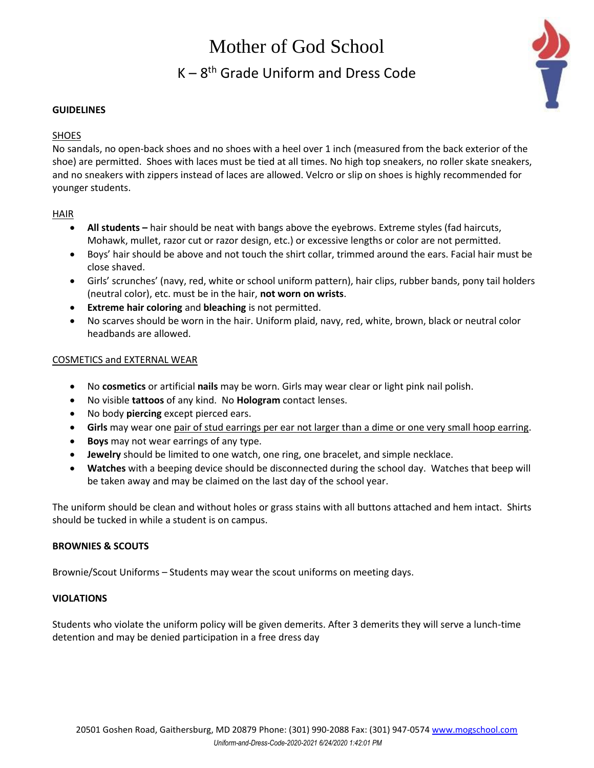## Mother of God School K – 8 th Grade Uniform and Dress Code



#### **GUIDELINES**

### **SHOES**

No sandals, no open-back shoes and no shoes with a heel over 1 inch (measured from the back exterior of the shoe) are permitted. Shoes with laces must be tied at all times. No high top sneakers, no roller skate sneakers, and no sneakers with zippers instead of laces are allowed. Velcro or slip on shoes is highly recommended for younger students.

### HAIR

- **All students –** hair should be neat with bangs above the eyebrows. Extreme styles (fad haircuts, Mohawk, mullet, razor cut or razor design, etc.) or excessive lengths or color are not permitted.
- Boys' hair should be above and not touch the shirt collar, trimmed around the ears. Facial hair must be close shaved.
- Girls' scrunches' (navy, red, white or school uniform pattern), hair clips, rubber bands, pony tail holders (neutral color), etc. must be in the hair, **not worn on wrists**.
- **Extreme hair coloring** and **bleaching** is not permitted.
- No scarves should be worn in the hair. Uniform plaid, navy, red, white, brown, black or neutral color headbands are allowed.

### COSMETICS and EXTERNAL WEAR

- No **cosmetics** or artificial **nails** may be worn. Girls may wear clear or light pink nail polish.
- No visible **tattoos** of any kind. No **Hologram** contact lenses.
- No body **piercing** except pierced ears.
- **Girls** may wear one pair of stud earrings per ear not larger than a dime or one very small hoop earring.
- **Boys** may not wear earrings of any type.
- **Jewelry** should be limited to one watch, one ring, one bracelet, and simple necklace.
- **Watches** with a beeping device should be disconnected during the school day. Watches that beep will be taken away and may be claimed on the last day of the school year.

The uniform should be clean and without holes or grass stains with all buttons attached and hem intact. Shirts should be tucked in while a student is on campus.

### **BROWNIES & SCOUTS**

Brownie/Scout Uniforms – Students may wear the scout uniforms on meeting days.

#### **VIOLATIONS**

Students who violate the uniform policy will be given demerits. After 3 demerits they will serve a lunch-time detention and may be denied participation in a free dress day